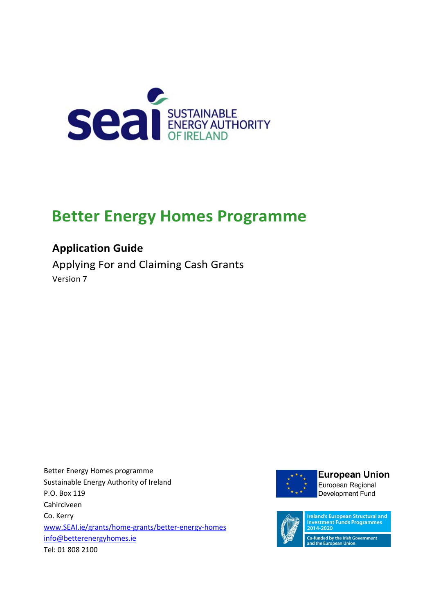

# **Better Energy Homes Programme**

# **Application Guide**

Applying For and Claiming Cash Grants Version 7

Better Energy Homes programme Sustainable Energy Authority of Ireland P.O. Box 119 Cahirciveen Co. Kerry [www.SEAI.ie/grants/home-grants/better-energy-homes](http://www.seai.ie/grants/home-grants/better-energy-homes) [info@betterenergyhomes.ie](mailto:info@betterenergyhomes.ie) Tel: 01 808 2100



# **European Union** European Regional

Development Fund



**Ireland's European Structural and** nvestment Funds Programmes 2014-2020

.<br>Co-funded by the Irish Government<br>and the European Union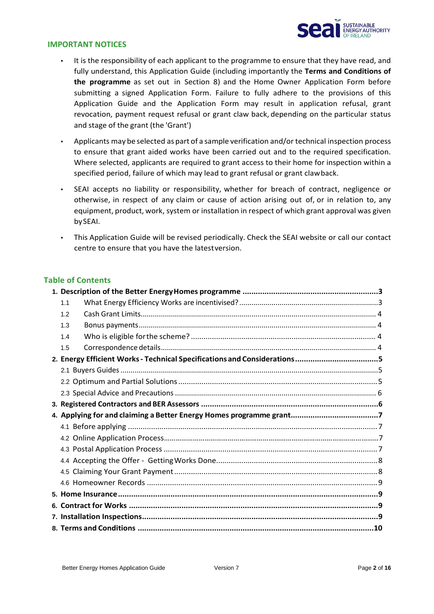

#### **IMPORTANT NOTICES**

- It is the responsibility of each applicant to the programme to ensure that they have read, and fully understand, this Application Guide (including importantly the **Terms and Conditions of the programme** as set out in Section 8) and the Home Owner Application Form before submitting a signed Application Form. Failure to fully adhere to the provisions of this Application Guide and the Application Form may result in application refusal, grant revocation, payment request refusal or grant claw back, depending on the particular status and stage of the grant (the 'Grant')
- Applicants may be selected aspart of a sample verification and/or technical inspection process to ensure that grant aided works have been carried out and to the required specification. Where selected, applicants are required to grant access to their home for inspection within a specified period, failure of which may lead to grant refusal or grant clawback.
- SEAI accepts no liability or responsibility, whether for breach of contract, negligence or otherwise, in respect of any claim or cause of action arising out of, or in relation to, any equipment, product, work, system or installation in respect of which grant approval was given bySEAI.
- This Application Guide will be revised periodically. Check the SEAI website or call our contact centre to ensure that you have the latestversion.

#### **Table of Contents**

| 1.1 |  |  |  |  |
|-----|--|--|--|--|
| 1.2 |  |  |  |  |
| 1.3 |  |  |  |  |
| 1.4 |  |  |  |  |
| 1.5 |  |  |  |  |
|     |  |  |  |  |
|     |  |  |  |  |
|     |  |  |  |  |
|     |  |  |  |  |
|     |  |  |  |  |
|     |  |  |  |  |
|     |  |  |  |  |
|     |  |  |  |  |
|     |  |  |  |  |
|     |  |  |  |  |
|     |  |  |  |  |
|     |  |  |  |  |
|     |  |  |  |  |
|     |  |  |  |  |
|     |  |  |  |  |
|     |  |  |  |  |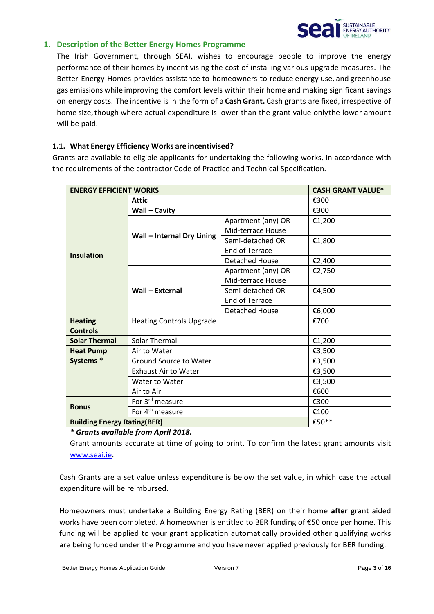<span id="page-2-0"></span>

# **1. Description of the Better Energy Homes Programme**

The Irish Government, through SEAI, wishes to encourage people to improve the energy performance of their homes by incentivising the cost of installing various upgrade measures. The Better Energy Homes provides assistance to homeowners to reduce energy use, and greenhouse gas emissions while improving the comfort levels within their home and making significant savings on energy costs. The incentive isin the form of a **Cash Grant.** Cash grants are fixed, irrespective of home size, though where actual expenditure is lower than the grant value onlythe lower amount will be paid.

#### **1.1. What Energy Efficiency Works are incentivised?**

Grants are available to eligible applicants for undertaking the following works, in accordance with the requirements of the contractor Code of Practice and Technical Specification.

| <b>ENERGY EFFICIENT WORKS</b><br><b>CASH GRANT VALUE*</b> |                                   |                       |        |  |
|-----------------------------------------------------------|-----------------------------------|-----------------------|--------|--|
|                                                           | <b>Attic</b>                      |                       | €300   |  |
|                                                           | Wall – Cavity                     |                       | €300   |  |
|                                                           |                                   | Apartment (any) OR    | €1,200 |  |
|                                                           | <b>Wall - Internal Dry Lining</b> | Mid-terrace House     |        |  |
|                                                           |                                   | Semi-detached OR      | €1,800 |  |
| <b>Insulation</b>                                         |                                   | End of Terrace        |        |  |
|                                                           |                                   | <b>Detached House</b> | €2,400 |  |
|                                                           |                                   | Apartment (any) OR    | €2,750 |  |
|                                                           |                                   | Mid-terrace House     |        |  |
|                                                           | <b>Wall - External</b>            | Semi-detached OR      | €4,500 |  |
|                                                           |                                   | End of Terrace        |        |  |
|                                                           |                                   | <b>Detached House</b> | €6,000 |  |
| <b>Heating</b>                                            | <b>Heating Controls Upgrade</b>   |                       | €700   |  |
| <b>Controls</b>                                           |                                   |                       |        |  |
| <b>Solar Thermal</b><br>Solar Thermal                     |                                   |                       | €1,200 |  |
| <b>Heat Pump</b>                                          | Air to Water                      |                       | €3,500 |  |
| Systems *                                                 | Ground Source to Water            |                       | €3,500 |  |
|                                                           | <b>Exhaust Air to Water</b>       |                       | €3,500 |  |
|                                                           | Water to Water                    |                       | €3,500 |  |
|                                                           | Air to Air                        |                       | €600   |  |
| <b>Bonus</b>                                              | For 3 <sup>rd</sup> measure       |                       | €300   |  |
|                                                           | For 4 <sup>th</sup> measure       |                       | €100   |  |
| €50**<br><b>Building Energy Rating(BER)</b>               |                                   |                       |        |  |

*\* Grants available from April 2018.*

Grant amounts accurate at time of going to print. To confirm the latest grant amounts visit [www.seai.ie.](http://www.seai.ie/)

Cash Grants are a set value unless expenditure is below the set value, in which case the actual expenditure will be reimbursed.

Homeowners must undertake a Building Energy Rating (BER) on their home **after** grant aided works have been completed. A homeowner is entitled to BER funding of €50 once per home. This funding will be applied to your grant application automatically provided other qualifying works are being funded under the Programme and you have never applied previously for BER funding.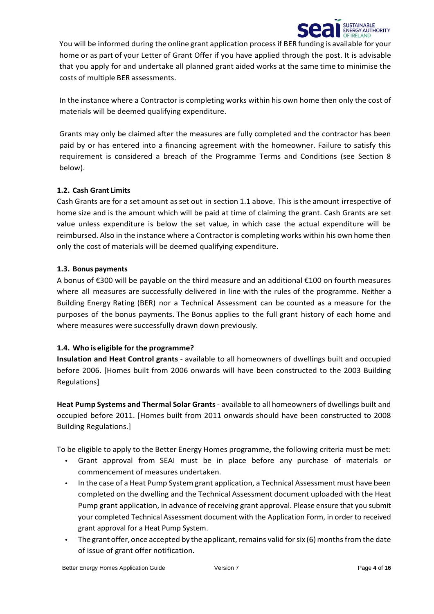

You will be informed during the online grant application process if BER funding is available for your home or as part of your Letter of Grant Offer if you have applied through the post. It is advisable that you apply for and undertake all planned grant aided works at the same time to minimise the costs of multiple BER assessments.

In the instance where a Contractor is completing works within his own home then only the cost of materials will be deemed qualifying expenditure.

Grants may only be claimed after the measures are fully completed and the contractor has been paid by or has entered into a financing agreement with the homeowner. Failure to satisfy this requirement is considered a breach of the Programme Terms and Conditions (see Section 8 below).

# <span id="page-3-0"></span>**1.2. Cash Grant Limits**

Cash Grants are for a set amount asset out in section 1.1 above. This isthe amount irrespective of home size and is the amount which will be paid at time of claiming the grant. Cash Grants are set value unless expenditure is below the set value, in which case the actual expenditure will be reimbursed. Also in the instance where a Contractor is completing works within his own home then only the cost of materials will be deemed qualifying expenditure.

# <span id="page-3-1"></span>**1.3. Bonus payments**

A bonus of €300 will be payable on the third measure and an additional €100 on fourth measures where all measures are successfully delivered in line with the rules of the programme. Neither a Building Energy Rating (BER) nor a Technical Assessment can be counted as a measure for the purposes of the bonus payments. The Bonus applies to the full grant history of each home and where measures were successfully drawn down previously.

# <span id="page-3-2"></span>**1.4. Who is eligible for the programme?**

**Insulation and Heat Control grants** - available to all homeowners of dwellings built and occupied before 2006. [Homes built from 2006 onwards will have been constructed to the 2003 Building Regulations]

**Heat Pump Systems and Thermal Solar Grants**- available to all homeowners of dwellings built and occupied before 2011. [Homes built from 2011 onwards should have been constructed to 2008 Building Regulations.]

To be eligible to apply to the Better Energy Homes programme, the following criteria must be met:

- Grant approval from SEAI must be in place before any purchase of materials or commencement of measures undertaken.
- In the case of a Heat Pump System grant application, a Technical Assessment must have been completed on the dwelling and the Technical Assessment document uploaded with the Heat Pump grant application, in advance of receiving grant approval. Please ensure that you submit your completed Technical Assessment document with the Application Form, in order to received grant approval for a Heat Pump System.
- The grant offer, once accepted by the applicant, remains valid for  $\sin(6)$  months from the date of issue of grant offer notification.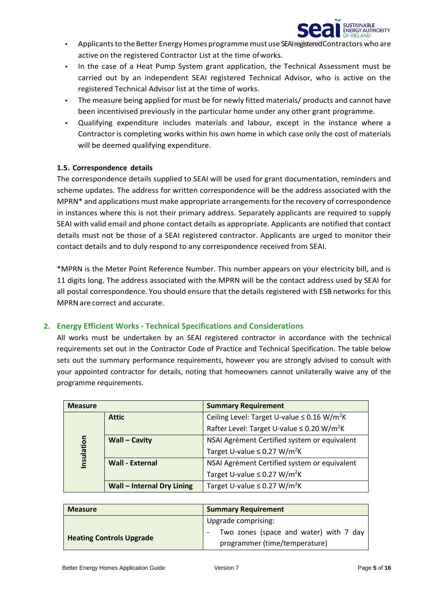

- Applicants to the Better Energy Homes programme must use SEAI registered Contractors who are active on the registered Contractor List at the time ofworks.
- In the case of a Heat Pump System grant application, the Technical Assessment must be carried out by an independent SEAI registered Technical Advisor, who is active on the registered Technical Advisor list at the time of works.
- The measure being applied for must be for newly fitted materials/ products and cannot have been incentivised previously in the particular home under any other grant programme.
- Qualifying expenditure includes materials and labour, except in the instance where a Contractor is completing works within his own home in which case only the cost of materials will be deemed qualifying expenditure.

#### **1.5. Correspondence details**

The correspondence details supplied to SEAI will be used for grant documentation, reminders and scheme updates. The address for written correspondence will be the address associated with the MPRN\* and applications must make appropriate arrangements for the recovery of correspondence in instances where this is not their primary address. Separately applicants are required to supply SEAI with valid email and phone contact details as appropriate. Applicants are notified that contact details must not be those of a SEAI registered contractor. Applicants are urged to monitor their contact details and to duly respond to any correspondence received from SEAI.

\*MPRN is the Meter Point Reference Number. This number appears on your electricity bill, and is 11 digits long. The address associated with the MPRN will be the contact address used by SEAI for all postal correspondence. You should ensure that the details registered with ESB networks for this MPRNare correct and accurate.

# **2. Energy Efficient Works - Technical Specifications and Considerations**

All works must be undertaken by an SEAI registered contractor in accordance with the technical requirements set out in the Contractor Code of Practice and Technical Specification. The table below sets out the summary performance requirements, however you are strongly advised to consult with your appointed contractor for details, noting that homeowners cannot unilaterally waive any of the programme requirements.

| <b>Measure</b> |                                   | <b>Summary Requirement</b>                                   |
|----------------|-----------------------------------|--------------------------------------------------------------|
|                | <b>Attic</b>                      | Ceiling Level: Target U-value $\leq$ 0.16 W/m <sup>2</sup> K |
|                |                                   | Rafter Level: Target U-value ≤ 0.20 W/m <sup>2</sup> K       |
|                | <b>Wall - Cavity</b>              | NSAI Agrément Certified system or equivalent                 |
| Insulation     |                                   | Target U-value $\leq$ 0.27 W/m <sup>2</sup> K                |
|                | <b>Wall - External</b>            | NSAI Agrément Certified system or equivalent                 |
|                |                                   | Target U-value $\leq$ 0.27 W/m <sup>2</sup> K                |
|                | <b>Wall - Internal Dry Lining</b> | Target U-value $\leq$ 0.27 W/m <sup>2</sup> K                |

| <b>Measure</b>                  | <b>Summary Requirement</b>             |
|---------------------------------|----------------------------------------|
|                                 | Upgrade comprising:                    |
|                                 | Two zones (space and water) with 7 day |
| <b>Heating Controls Upgrade</b> | programmer (time/temperature)          |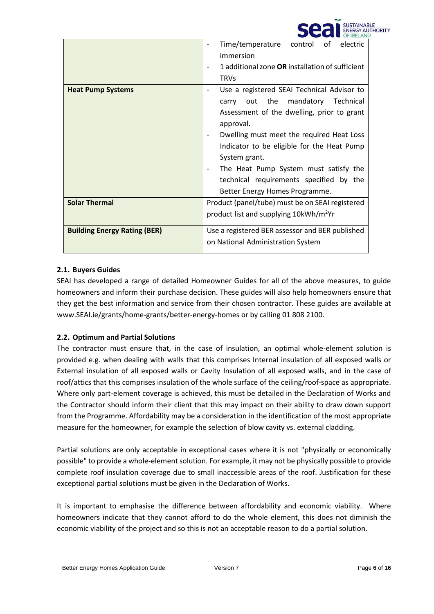|                                     | OF IRELAND                                                                                                                                                                                                                                                                                                                                                                            |
|-------------------------------------|---------------------------------------------------------------------------------------------------------------------------------------------------------------------------------------------------------------------------------------------------------------------------------------------------------------------------------------------------------------------------------------|
|                                     | of<br>control<br>electric<br>Time/temperature<br>immersion                                                                                                                                                                                                                                                                                                                            |
|                                     | 1 additional zone OR installation of sufficient<br><b>TRVs</b>                                                                                                                                                                                                                                                                                                                        |
| <b>Heat Pump Systems</b>            | Use a registered SEAI Technical Advisor to<br>mandatory Technical<br>the<br>out<br>carry<br>Assessment of the dwelling, prior to grant<br>approval.<br>Dwelling must meet the required Heat Loss<br>Indicator to be eligible for the Heat Pump<br>System grant.<br>The Heat Pump System must satisfy the<br>technical requirements specified by the<br>Better Energy Homes Programme. |
| <b>Solar Thermal</b>                | Product (panel/tube) must be on SEAI registered<br>product list and supplying 10kWh/m <sup>2</sup> Yr                                                                                                                                                                                                                                                                                 |
| <b>Building Energy Rating (BER)</b> | Use a registered BER assessor and BER published<br>on National Administration System                                                                                                                                                                                                                                                                                                  |

**CAR I SUSTAINABLE** 

**GY ALITHORITY** 

# **2.1. Buyers Guides**

SEAI has developed a range of detailed Homeowner Guides for all of the above measures, to guide homeowners and inform their purchase decision. These guides will also help homeowners ensure that they get the best information and service from their chosen contractor. These guides are available at www.SEAI.ie/grants/home-grants/better-energy-homes or by calling 01 808 2100.

# **2.2. Optimum and Partial Solutions**

The contractor must ensure that, in the case of insulation, an optimal whole-element solution is provided e.g. when dealing with walls that this comprises Internal insulation of all exposed walls or External insulation of all exposed walls or Cavity Insulation of all exposed walls, and in the case of roof/attics that this comprises insulation of the whole surface of the ceiling/roof-space as appropriate. Where only part-element coverage is achieved, this must be detailed in the Declaration of Works and the Contractor should inform their client that this may impact on their ability to draw down support from the Programme. Affordability may be a consideration in the identification of the most appropriate measure for the homeowner, for example the selection of blow cavity vs. external cladding.

Partial solutions are only acceptable in exceptional cases where it is not "physically or economically possible" to provide a whole-element solution. For example, it may not be physically possible to provide complete roof insulation coverage due to small inaccessible areas of the roof. Justification for these exceptional partial solutions must be given in the Declaration of Works.

It is important to emphasise the difference between affordability and economic viability. Where homeowners indicate that they cannot afford to do the whole element, this does not diminish the economic viability of the project and so this is not an acceptable reason to do a partial solution.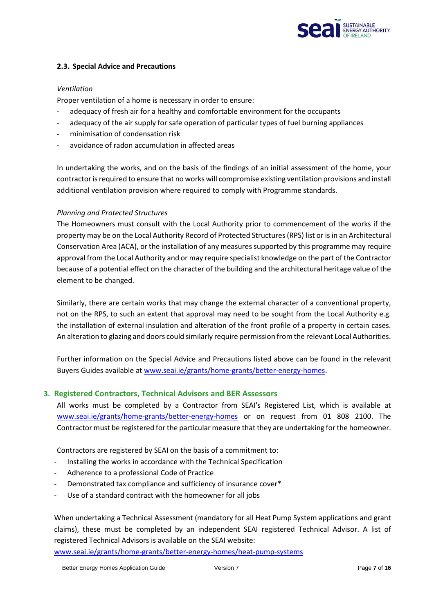

#### **2.3. Special Advice and Precautions**

#### *Ventilation*

Proper ventilation of a home is necessary in order to ensure:

- adequacy of fresh air for a healthy and comfortable environment for the occupants
- adequacy of the air supply for safe operation of particular types of fuel burning appliances
- minimisation of condensation risk
- avoidance of radon accumulation in affected areas

In undertaking the works, and on the basis of the findings of an initial assessment of the home, your contractor is required to ensure that no works will compromise existing ventilation provisions and install additional ventilation provision where required to comply with Programme standards.

#### *Planning and Protected Structures*

The Homeowners must consult with the Local Authority prior to commencement of the works if the property may be on the Local Authority Record of Protected Structures (RPS) list or is in an Architectural Conservation Area (ACA), or the installation of any measures supported by this programme may require approval from the Local Authority and or may require specialist knowledge on the part of the Contractor because of a potential effect on the character of the building and the architectural heritage value of the element to be changed.

Similarly, there are certain works that may change the external character of a conventional property, not on the RPS, to such an extent that approval may need to be sought from the Local Authority e.g. the installation of external insulation and alteration of the front profile of a property in certain cases. An alteration to glazing and doors could similarly require permission from the relevant Local Authorities.

Further information on the Special Advice and Precautions listed above can be found in the relevant Buyers Guides available at [www.seai.ie/grants/home-grants/better-energy-homes.](http://www.seai.ie/grants/home-grants/better-energy-homes)

#### **3. Registered Contractors, Technical Advisors and BER Assessors**

All works must be completed by a Contractor from SEAI's Registered List, which is available at [www.seai.ie/grants/home-grants/better-energy-homes](http://www.seai.ie/grants/home-grants/better-energy-homes) or on request from 01 808 2100. The Contractor must be registered for the particular measure that they are undertaking for the homeowner.

Contractors are registered by SEAI on the basis of a commitment to:

- Installing the works in accordance with the Technical Specification
- Adherence to a professional Code of Practice
- Demonstrated tax compliance and sufficiency of insurance cover\*
- Use of a standard contract with the homeowner for all jobs

When undertaking a Technical Assessment (mandatory for all Heat Pump System applications and grant claims), these must be completed by an independent SEAI registered Technical Advisor. A list of registered Technical Advisors is available on the SEAI website:

[www.seai.ie/grants/home-grants/better-energy-homes/heat-pump-systems](http://www.seai.ie/grants/home-grants/better-energy-homes/heat-pump-systems)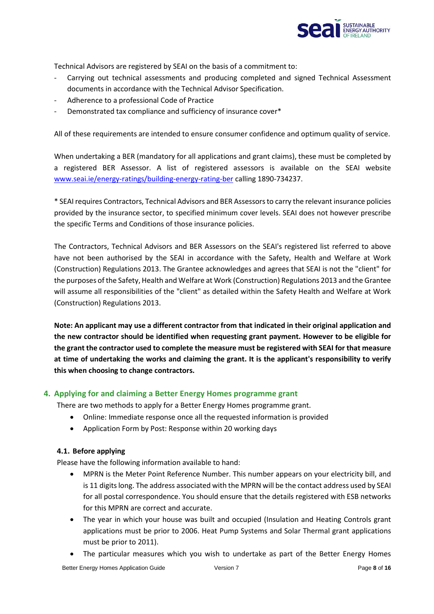

Technical Advisors are registered by SEAI on the basis of a commitment to:

- Carrying out technical assessments and producing completed and signed Technical Assessment documents in accordance with the Technical Advisor Specification.
- Adherence to a professional Code of Practice
- Demonstrated tax compliance and sufficiency of insurance cover\*

All of these requirements are intended to ensure consumer confidence and optimum quality of service.

When undertaking a BER (mandatory for all applications and grant claims), these must be completed by a registered BER Assessor. A list of registered assessors is available on the SEAI website [www.seai.ie/energy-ratings/building-energy-rating-ber](http://www.seai.ie/energy-ratings/building-energy-rating-ber) calling 1890-734237.

\* SEAIrequires Contractors, Technical Advisors and BER Assessorsto carry the relevant insurance policies provided by the insurance sector, to specified minimum cover levels. SEAI does not however prescribe the specific Terms and Conditions of those insurance policies.

The Contractors, Technical Advisors and BER Assessors on the SEAI's registered list referred to above have not been authorised by the SEAI in accordance with the Safety, Health and Welfare at Work (Construction) Regulations 2013. The Grantee acknowledges and agrees that SEAI is not the "client" for the purposes of the Safety, Health and Welfare at Work (Construction) Regulations 2013 and the Grantee will assume all responsibilities of the "client" as detailed within the Safety Health and Welfare at Work (Construction) Regulations 2013.

**Note: An applicant may use a different contractor from that indicated in their original application and the new contractor should be identified when requesting grant payment. However to be eligible for the grant the contractor used to complete the measure must be registered with SEAI for that measure at time of undertaking the works and claiming the grant. It is the applicant's responsibility to verify this when choosing to change contractors.**

# **4. Applying for and claiming a Better Energy Homes programme grant**

There are two methods to apply for a Better Energy Homes programme grant.

- Online: Immediate response once all the requested information is provided
- Application Form by Post: Response within 20 working days

#### **4.1. Before applying**

Please have the following information available to hand:

- MPRN is the Meter Point Reference Number. This number appears on your electricity bill, and is 11 digits long. The address associated with the MPRN will be the contact address used by SEAI for all postal correspondence. You should ensure that the details registered with ESB networks for this MPRN are correct and accurate.
- The year in which your house was built and occupied (Insulation and Heating Controls grant applications must be prior to 2006. Heat Pump Systems and Solar Thermal grant applications must be prior to 2011).
- The particular measures which you wish to undertake as part of the Better Energy Homes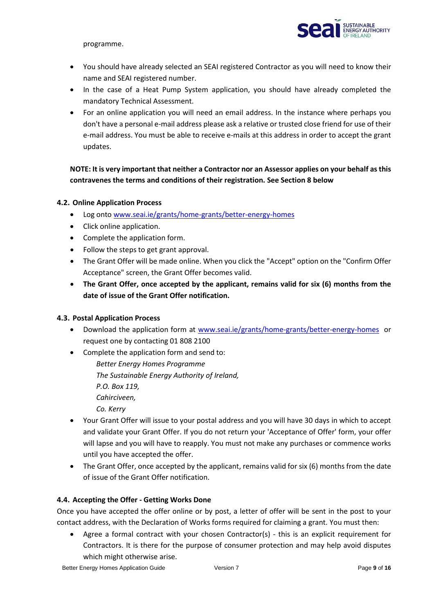

programme.

- You should have already selected an SEAI registered Contractor as you will need to know their name and SEAI registered number.
- In the case of a Heat Pump System application, you should have already completed the mandatory Technical Assessment.
- For an online application you will need an email address. In the instance where perhaps you don't have a personal e-mail address please ask a relative or trusted close friend for use of their e-mail address. You must be able to receive e-mails at this address in order to accept the grant updates.

# **NOTE: It is very important that neither a Contractor nor an Assessor applies on your behalf as this contravenes the terms and conditions of their registration. See Section 8 below**

# **4.2. Online Application Process**

- Log ont[o www.seai.ie/grants/home-grants/better-energy-homes](http://www.seai.ie/grants/home-grants/better-energy-homes)
- Click online application.
- Complete the application form.
- Follow the steps to get grant approval.
- The Grant Offer will be made online. When you click the "Accept" option on the "Confirm Offer Acceptance" screen, the Grant Offer becomes valid.
- **The Grant Offer, once accepted by the applicant, remains valid for six (6) months from the date of issue of the Grant Offer notification.**

# **4.3. Postal Application Process**

- Download the application form at [www.seai.ie/grants/home-grants/better-energy-homes](http://www.seai.ie/grants/home-grants/better-energy-homes) or request one by contacting 01 808 2100
- Complete the application form and send to:

*Better Energy Homes Programme The Sustainable Energy Authority of Ireland, P.O. Box 119, Cahirciveen, Co. Kerry*

- Your Grant Offer will issue to your postal address and you will have 30 days in which to accept and validate your Grant Offer. If you do not return your 'Acceptance of Offer' form, your offer will lapse and you will have to reapply. You must not make any purchases or commence works until you have accepted the offer.
- The Grant Offer, once accepted by the applicant, remains valid for six (6) months from the date of issue of the Grant Offer notification.

# **4.4. Accepting the Offer - Getting Works Done**

Once you have accepted the offer online or by post, a letter of offer will be sent in the post to your contact address, with the Declaration of Works forms required for claiming a grant. You must then:

Agree a formal contract with your chosen Contractor(s) - this is an explicit requirement for Contractors. It is there for the purpose of consumer protection and may help avoid disputes which might otherwise arise.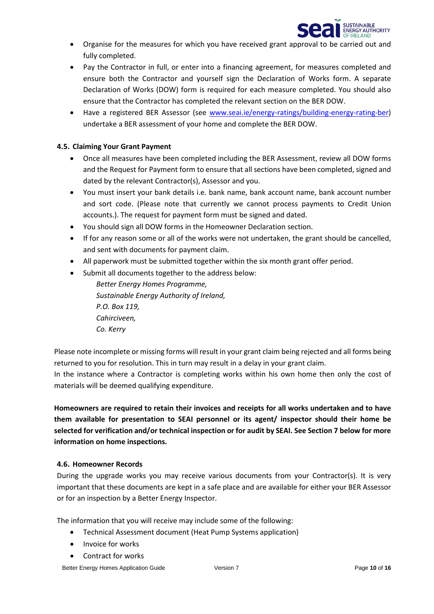

- Organise for the measures for which you have received grant approval to be carried out and fully completed.
- Pay the Contractor in full, or enter into a financing agreement, for measures completed and ensure both the Contractor and yourself sign the Declaration of Works form. A separate Declaration of Works (DOW) form is required for each measure completed. You should also ensure that the Contractor has completed the relevant section on the BER DOW.
- Have a registered BER Assessor (see [www.seai.ie/energy-ratings/building-energy-rating-ber\)](http://www.seai.ie/energy-ratings/building-energy-rating-ber) undertake a BER assessment of your home and complete the BER DOW.

### **4.5. Claiming Your Grant Payment**

- Once all measures have been completed including the BER Assessment, review all DOW forms and the Request for Payment form to ensure that all sections have been completed, signed and dated by the relevant Contractor(s), Assessor and you.
- You must insert your bank details i.e. bank name, bank account name, bank account number and sort code. (Please note that currently we cannot process payments to Credit Union accounts.). The request for payment form must be signed and dated.
- You should sign all DOW forms in the Homeowner Declaration section.
- If for any reason some or all of the works were not undertaken, the grant should be cancelled, and sent with documents for payment claim.
- All paperwork must be submitted together within the six month grant offer period.
- Submit all documents together to the address below:

*Better Energy Homes Programme, Sustainable Energy Authority of Ireland, P.O. Box 119, Cahirciveen, Co. Kerry*

Please note incomplete or missing forms will result in your grant claim being rejected and all forms being returned to you for resolution. This in turn may result in a delay in your grant claim.

In the instance where a Contractor is completing works within his own home then only the cost of materials will be deemed qualifying expenditure.

**Homeowners are required to retain their invoices and receipts for all works undertaken and to have them available for presentation to SEAI personnel or its agent/ inspector should their home be selected for verification and/or technical inspection or for audit by SEAI. See Section 7 below for more information on home inspections.**

#### **4.6. Homeowner Records**

During the upgrade works you may receive various documents from your Contractor(s). It is very important that these documents are kept in a safe place and are available for either your BER Assessor or for an inspection by a Better Energy Inspector.

The information that you will receive may include some of the following:

- Technical Assessment document (Heat Pump Systems application)
- Invoice for works
- Contract for works

Better Energy Homes Application Guide Version 7 Version 7 Page 10 of 16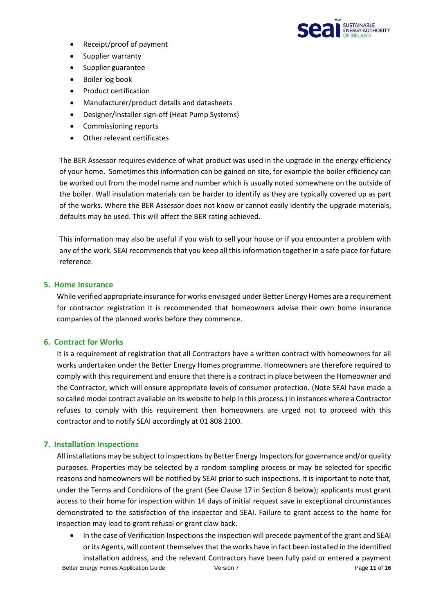

- Receipt/proof of payment
- Supplier warranty
- Supplier guarantee
- Boiler log book
- Product certification
- Manufacturer/product details and datasheets
- Designer/Installer sign-off (Heat Pump Systems)
- Commissioning reports
- Other relevant certificates

The BER Assessor requires evidence of what product was used in the upgrade in the energy efficiency of your home. Sometimes this information can be gained on site, for example the boiler efficiency can be worked out from the model name and number which is usually noted somewhere on the outside of the boiler. Wall insulation materials can be harder to identify as they are typically covered up as part of the works. Where the BER Assessor does not know or cannot easily identify the upgrade materials, defaults may be used. This will affect the BER rating achieved.

This information may also be useful if you wish to sell your house or if you encounter a problem with any of the work. SEAI recommends that you keep all this information together in a safe place for future reference.

# **5. Home Insurance**

While verified appropriate insurance for works envisaged under Better Energy Homes are a requirement for contractor registration it is recommended that homeowners advise their own home insurance companies of the planned works before they commence.

# **6. Contract for Works**

It is a requirement of registration that all Contractors have a written contract with homeowners for all works undertaken under the Better Energy Homes programme. Homeowners are therefore required to comply with this requirement and ensure that there is a contract in place between the Homeowner and the Contractor, which will ensure appropriate levels of consumer protection. (Note SEAI have made a so called model contract available on its website to help in this process.) In instances where a Contractor refuses to comply with this requirement then homeowners are urged not to proceed with this contractor and to notify SEAI accordingly at 01 808 2100.

# **7. Installation Inspections**

All installations may be subject to inspections by Better Energy Inspectors for governance and/or quality purposes. Properties may be selected by a random sampling process or may be selected for specific reasons and homeowners will be notified by SEAI prior to such inspections. It is important to note that, under the Terms and Conditions of the grant (See Clause 17 in Section 8 below); applicants must grant access to their home for inspection within 14 days of initial request save in exceptional circumstances demonstrated to the satisfaction of the inspector and SEAI. Failure to grant access to the home for inspection may lead to grant refusal or grant claw back.

• In the case of Verification Inspections the inspection will precede payment of the grant and SEAI or its Agents, will content themselves that the works have in fact been installed in the identified installation address, and the relevant Contractors have been fully paid or entered a payment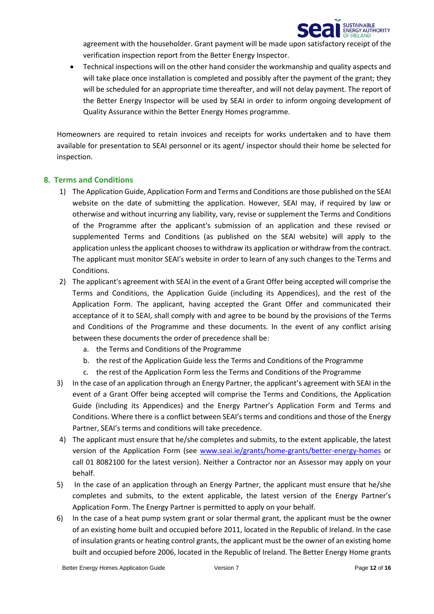

agreement with the householder. Grant payment will be made upon satisfactory receipt of the verification inspection report from the Better Energy Inspector.

• Technical inspections will on the other hand consider the workmanship and quality aspects and will take place once installation is completed and possibly after the payment of the grant; they will be scheduled for an appropriate time thereafter, and will not delay payment. The report of the Better Energy Inspector will be used by SEAI in order to inform ongoing development of Quality Assurance within the Better Energy Homes programme.

Homeowners are required to retain invoices and receipts for works undertaken and to have them available for presentation to SEAI personnel or its agent/ inspector should their home be selected for inspection.

#### **8. Terms and Conditions**

- 1) The Application Guide, Application Form and Terms and Conditions are those published on the SEAI website on the date of submitting the application. However, SEAI may, if required by law or otherwise and without incurring any liability, vary, revise or supplement the Terms and Conditions of the Programme after the applicant's submission of an application and these revised or supplemented Terms and Conditions (as published on the SEAI website) will apply to the application unless the applicant chooses to withdraw its application or withdraw from the contract. The applicant must monitor SEAI's website in order to learn of any such changes to the Terms and Conditions.
- 2) The applicant's agreement with SEAI in the event of a Grant Offer being accepted will comprise the Terms and Conditions, the Application Guide (including its Appendices), and the rest of the Application Form. The applicant, having accepted the Grant Offer and communicated their acceptance of it to SEAI, shall comply with and agree to be bound by the provisions of the Terms and Conditions of the Programme and these documents. In the event of any conflict arising between these documents the order of precedence shall be:
	- a. the Terms and Conditions of the Programme
	- b. the rest of the Application Guide less the Terms and Conditions of the Programme
	- c. the rest of the Application Form less the Terms and Conditions of the Programme
- 3) In the case of an application through an Energy Partner, the applicant's agreement with SEAI in the event of a Grant Offer being accepted will comprise the Terms and Conditions, the Application Guide (including its Appendices) and the Energy Partner's Application Form and Terms and Conditions. Where there is a conflict between SEAI's terms and conditions and those of the Energy Partner, SEAI's terms and conditions will take precedence.
- 4) The applicant must ensure that he/she completes and submits, to the extent applicable, the latest version of the Application Form (see [www.seai.ie/grants/home-grants/better-energy-homes](http://www.seai.ie/grants/home-grants/better-energy-homes) or call 01 8082100 for the latest version). Neither a Contractor nor an Assessor may apply on your behalf.
- 5) In the case of an application through an Energy Partner, the applicant must ensure that he/she completes and submits, to the extent applicable, the latest version of the Energy Partner's Application Form. The Energy Partner is permitted to apply on your behalf.
- 6) In the case of a heat pump system grant or solar thermal grant, the applicant must be the owner of an existing home built and occupied before 2011, located in the Republic of Ireland. In the case of insulation grants or heating control grants, the applicant must be the owner of an existing home built and occupied before 2006, located in the Republic of Ireland. The Better Energy Home grants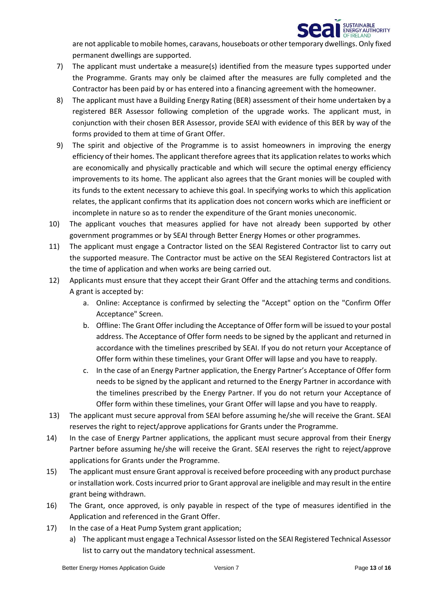

are not applicable to mobile homes, caravans, houseboats or other temporary dwellings. Only fixed permanent dwellings are supported.

- 7) The applicant must undertake a measure(s) identified from the measure types supported under the Programme. Grants may only be claimed after the measures are fully completed and the Contractor has been paid by or has entered into a financing agreement with the homeowner.
- 8) The applicant must have a Building Energy Rating (BER) assessment of their home undertaken by a registered BER Assessor following completion of the upgrade works. The applicant must, in conjunction with their chosen BER Assessor, provide SEAI with evidence of this BER by way of the forms provided to them at time of Grant Offer.
- 9) The spirit and objective of the Programme is to assist homeowners in improving the energy efficiency of their homes. The applicant therefore agrees that its application relates to works which are economically and physically practicable and which will secure the optimal energy efficiency improvements to its home. The applicant also agrees that the Grant monies will be coupled with its funds to the extent necessary to achieve this goal. In specifying works to which this application relates, the applicant confirms that its application does not concern works which are inefficient or incomplete in nature so as to render the expenditure of the Grant monies uneconomic.
- 10) The applicant vouches that measures applied for have not already been supported by other government programmes or by SEAI through Better Energy Homes or other programmes.
- 11) The applicant must engage a Contractor listed on the SEAI Registered Contractor list to carry out the supported measure. The Contractor must be active on the SEAI Registered Contractors list at the time of application and when works are being carried out.
- 12) Applicants must ensure that they accept their Grant Offer and the attaching terms and conditions. A grant is accepted by:
	- a. Online: Acceptance is confirmed by selecting the "Accept" option on the "Confirm Offer Acceptance" Screen.
	- b. Offline: The Grant Offer including the Acceptance of Offer form will be issued to your postal address. The Acceptance of Offer form needs to be signed by the applicant and returned in accordance with the timelines prescribed by SEAI. If you do not return your Acceptance of Offer form within these timelines, your Grant Offer will lapse and you have to reapply.
	- c. In the case of an Energy Partner application, the Energy Partner's Acceptance of Offer form needs to be signed by the applicant and returned to the Energy Partner in accordance with the timelines prescribed by the Energy Partner. If you do not return your Acceptance of Offer form within these timelines, your Grant Offer will lapse and you have to reapply.
- 13) The applicant must secure approval from SEAI before assuming he/she will receive the Grant. SEAI reserves the right to reject/approve applications for Grants under the Programme.
- 14) In the case of Energy Partner applications, the applicant must secure approval from their Energy Partner before assuming he/she will receive the Grant. SEAI reserves the right to reject/approve applications for Grants under the Programme.
- 15) The applicant must ensure Grant approval is received before proceeding with any product purchase or installation work. Costs incurred prior to Grant approval are ineligible and may result in the entire grant being withdrawn.
- 16) The Grant, once approved, is only payable in respect of the type of measures identified in the Application and referenced in the Grant Offer.
- 17) In the case of a Heat Pump System grant application;
	- a) The applicant must engage a Technical Assessor listed on the SEAI Registered Technical Assessor list to carry out the mandatory technical assessment.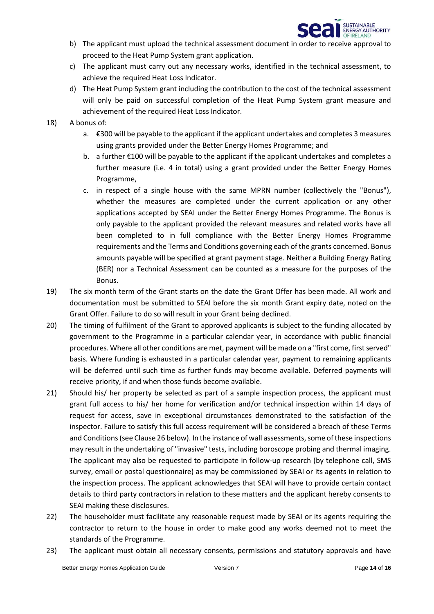

- b) The applicant must upload the technical assessment document in order to receive approval to proceed to the Heat Pump System grant application.
- c) The applicant must carry out any necessary works, identified in the technical assessment, to achieve the required Heat Loss Indicator.
- d) The Heat Pump System grant including the contribution to the cost of the technical assessment will only be paid on successful completion of the Heat Pump System grant measure and achievement of the required Heat Loss Indicator.
- 18) A bonus of:
	- a. €300 will be payable to the applicant if the applicant undertakes and completes 3 measures using grants provided under the Better Energy Homes Programme; and
	- b. a further €100 will be payable to the applicant if the applicant undertakes and completes a further measure (i.e. 4 in total) using a grant provided under the Better Energy Homes Programme,
	- c. in respect of a single house with the same MPRN number (collectively the "Bonus"), whether the measures are completed under the current application or any other applications accepted by SEAI under the Better Energy Homes Programme. The Bonus is only payable to the applicant provided the relevant measures and related works have all been completed to in full compliance with the Better Energy Homes Programme requirements and the Terms and Conditions governing each of the grants concerned. Bonus amounts payable will be specified at grant payment stage. Neither a Building Energy Rating (BER) nor a Technical Assessment can be counted as a measure for the purposes of the Bonus.
- 19) The six month term of the Grant starts on the date the Grant Offer has been made. All work and documentation must be submitted to SEAI before the six month Grant expiry date, noted on the Grant Offer. Failure to do so will result in your Grant being declined.
- 20) The timing of fulfilment of the Grant to approved applicants is subject to the funding allocated by government to the Programme in a particular calendar year, in accordance with public financial procedures. Where all other conditions are met, payment will be made on a "first come, first served" basis. Where funding is exhausted in a particular calendar year, payment to remaining applicants will be deferred until such time as further funds may become available. Deferred payments will receive priority, if and when those funds become available.
- 21) Should his/ her property be selected as part of a sample inspection process, the applicant must grant full access to his/ her home for verification and/or technical inspection within 14 days of request for access, save in exceptional circumstances demonstrated to the satisfaction of the inspector. Failure to satisfy this full access requirement will be considered a breach of these Terms and Conditions (see Clause 26 below). In the instance of wall assessments, some of these inspections may result in the undertaking of "invasive" tests, including boroscope probing and thermal imaging. The applicant may also be requested to participate in follow-up research (by telephone call, SMS survey, email or postal questionnaire) as may be commissioned by SEAI or its agents in relation to the inspection process. The applicant acknowledges that SEAI will have to provide certain contact details to third party contractors in relation to these matters and the applicant hereby consents to SEAI making these disclosures.
- 22) The householder must facilitate any reasonable request made by SEAI or its agents requiring the contractor to return to the house in order to make good any works deemed not to meet the standards of the Programme.
- 23) The applicant must obtain all necessary consents, permissions and statutory approvals and have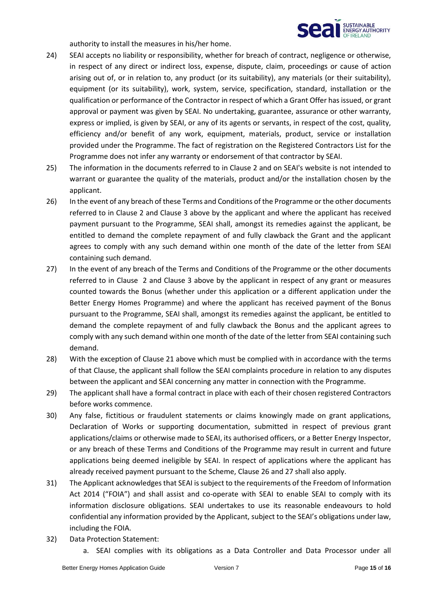

authority to install the measures in his/her home.

- 24) SEAI accepts no liability or responsibility, whether for breach of contract, negligence or otherwise, in respect of any direct or indirect loss, expense, dispute, claim, proceedings or cause of action arising out of, or in relation to, any product (or its suitability), any materials (or their suitability), equipment (or its suitability), work, system, service, specification, standard, installation or the qualification or performance of the Contractor in respect of which a Grant Offer has issued, or grant approval or payment was given by SEAI. No undertaking, guarantee, assurance or other warranty, express or implied, is given by SEAI, or any of its agents or servants, in respect of the cost, quality, efficiency and/or benefit of any work, equipment, materials, product, service or installation provided under the Programme. The fact of registration on the Registered Contractors List for the Programme does not infer any warranty or endorsement of that contractor by SEAI.
- 25) The information in the documents referred to in Clause 2 and on SEAI's website is not intended to warrant or guarantee the quality of the materials, product and/or the installation chosen by the applicant.
- 26) In the event of any breach of these Terms and Conditions of the Programme or the other documents referred to in Clause 2 and Clause 3 above by the applicant and where the applicant has received payment pursuant to the Programme, SEAI shall, amongst its remedies against the applicant, be entitled to demand the complete repayment of and fully clawback the Grant and the applicant agrees to comply with any such demand within one month of the date of the letter from SEAI containing such demand.
- 27) In the event of any breach of the Terms and Conditions of the Programme or the other documents referred to in Clause 2 and Clause 3 above by the applicant in respect of any grant or measures counted towards the Bonus (whether under this application or a different application under the Better Energy Homes Programme) and where the applicant has received payment of the Bonus pursuant to the Programme, SEAI shall, amongst its remedies against the applicant, be entitled to demand the complete repayment of and fully clawback the Bonus and the applicant agrees to comply with any such demand within one month of the date of the letter from SEAI containing such demand.
- 28) With the exception of Clause 21 above which must be complied with in accordance with the terms of that Clause, the applicant shall follow the SEAI complaints procedure in relation to any disputes between the applicant and SEAI concerning any matter in connection with the Programme.
- 29) The applicant shall have a formal contract in place with each of their chosen registered Contractors before works commence.
- 30) Any false, fictitious or fraudulent statements or claims knowingly made on grant applications, Declaration of Works or supporting documentation, submitted in respect of previous grant applications/claims or otherwise made to SEAI, its authorised officers, or a Better Energy Inspector, or any breach of these Terms and Conditions of the Programme may result in current and future applications being deemed ineligible by SEAI. In respect of applications where the applicant has already received payment pursuant to the Scheme, Clause 26 and 27 shall also apply.
- 31) The Applicant acknowledges that SEAI is subject to the requirements of the Freedom of Information Act 2014 ("FOIA") and shall assist and co-operate with SEAI to enable SEAI to comply with its information disclosure obligations. SEAI undertakes to use its reasonable endeavours to hold confidential any information provided by the Applicant, subject to the SEAI's obligations under law, including the FOIA.
- 32) Data Protection Statement:
	- a. SEAI complies with its obligations as a Data Controller and Data Processor under all